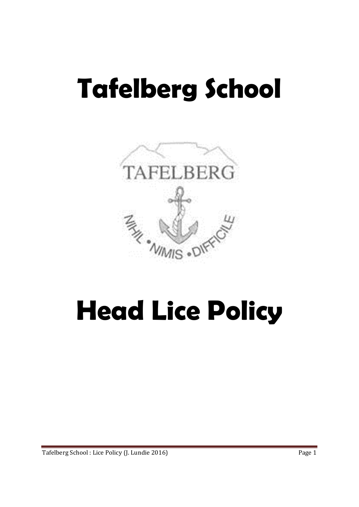# **Tafelberg School**



## **Head Lice Policy**

Tafelberg School : Lice Policy (J. Lundie 2016) **Page 1**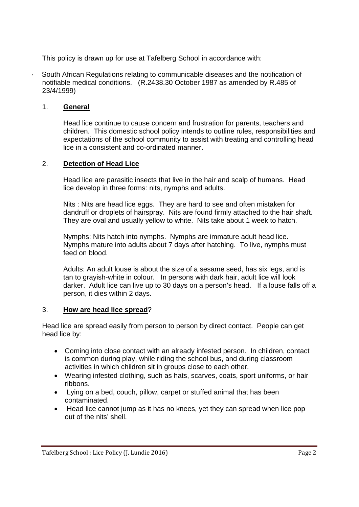This policy is drawn up for use at Tafelberg School in accordance with:

South African Regulations relating to communicable diseases and the notification of notifiable medical conditions. (R.2438.30 October 1987 as amended by R.485 of 23/4/1999)

#### 1. **General**

Head lice continue to cause concern and frustration for parents, teachers and children. This domestic school policy intends to outline rules, responsibilities and expectations of the school community to assist with treating and controlling head lice in a consistent and co-ordinated manner.

#### 2. **Detection of Head Lice**

Head lice are parasitic insects that live in the hair and scalp of humans. Head lice develop in three forms: nits, nymphs and adults.

Nits : Nits are head lice eggs. They are hard to see and often mistaken for dandruff or droplets of hairspray. Nits are found firmly attached to the hair shaft. They are oval and usually yellow to white. Nits take about 1 week to hatch.

Nymphs: Nits hatch into nymphs. Nymphs are immature adult head lice. Nymphs mature into adults about 7 days after hatching. To live, nymphs must feed on blood.

Adults: An adult louse is about the size of a sesame seed, has six legs, and is tan to grayish-white in colour. In persons with dark hair, adult lice will look darker. Adult lice can live up to 30 days on a person's head. If a louse falls off a person, it dies within 2 days.

#### 3. **How are head lice spread**?

Head lice are spread easily from person to person by direct contact. People can get head lice by:

- Coming into close contact with an already infested person. In children, contact is common during play, while riding the school bus, and during classroom activities in which children sit in groups close to each other.
- Wearing infested clothing, such as hats, scarves, coats, sport uniforms, or hair ribbons.
- Lying on a bed, couch, pillow, carpet or stuffed animal that has been contaminated.
- Head lice cannot jump as it has no knees, yet they can spread when lice pop out of the nits' shell.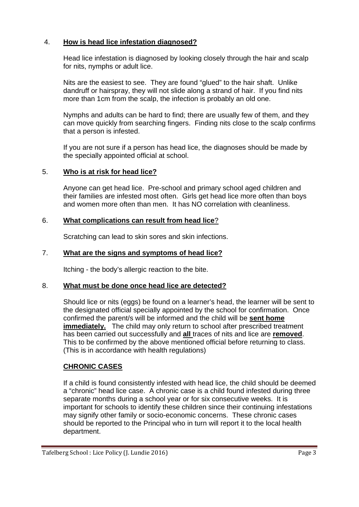#### 4. **How is head lice infestation diagnosed?**

Head lice infestation is diagnosed by looking closely through the hair and scalp for nits, nymphs or adult lice.

Nits are the easiest to see. They are found "glued" to the hair shaft. Unlike dandruff or hairspray, they will not slide along a strand of hair. If you find nits more than 1cm from the scalp, the infection is probably an old one.

Nymphs and adults can be hard to find; there are usually few of them, and they can move quickly from searching fingers. Finding nits close to the scalp confirms that a person is infested.

If you are not sure if a person has head lice, the diagnoses should be made by the specially appointed official at school.

#### 5. **Who is at risk for head lice?**

Anyone can get head lice. Pre-school and primary school aged children and their families are infested most often. Girls get head lice more often than boys and women more often than men. It has NO correlation with cleanliness.

#### 6. **What complications can result from head lice**?

Scratching can lead to skin sores and skin infections.

#### 7. **What are the signs and symptoms of head lice?**

Itching - the body's allergic reaction to the bite.

#### 8. **What must be done once head lice are detected?**

Should lice or nits (eggs) be found on a learner's head, the learner will be sent to the designated official specially appointed by the school for confirmation. Once confirmed the parent/s will be informed and the child will be **sent home immediately.** The child may only return to school after prescribed treatment has been carried out successfully and **all** traces of nits and lice are **removed**. This to be confirmed by the above mentioned official before returning to class. (This is in accordance with health regulations)

#### **CHRONIC CASES**

If a child is found consistently infested with head lice, the child should be deemed a "chronic" head lice case. A chronic case is a child found infested during three separate months during a school year or for six consecutive weeks. It is important for schools to identify these children since their continuing infestations may signify other family or socio-economic concerns. These chronic cases should be reported to the Principal who in turn will report it to the local health department.